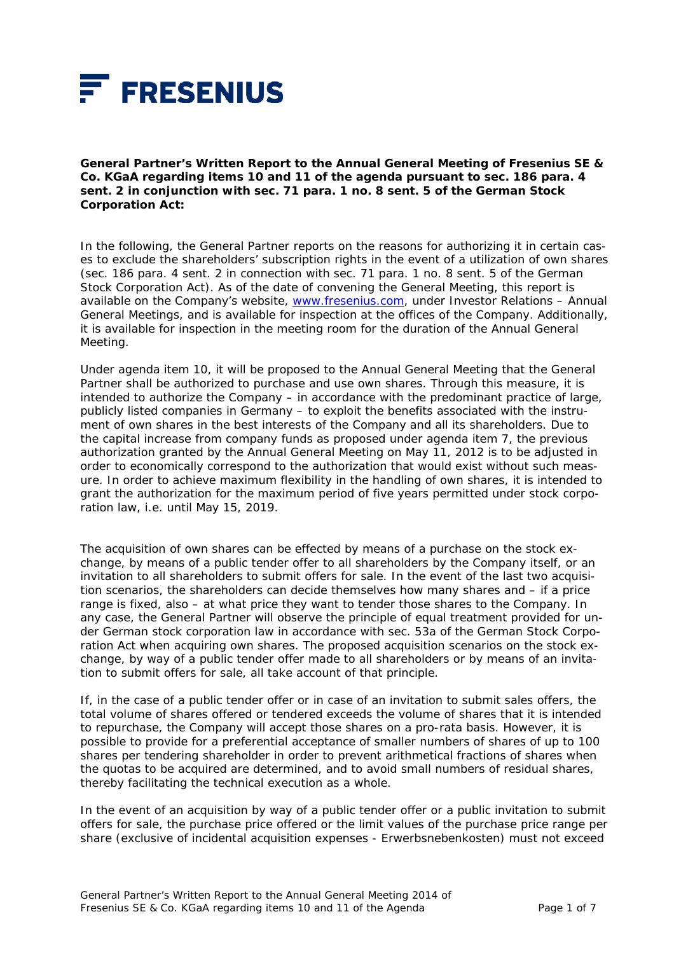

**General Partner's Written Report to the Annual General Meeting of Fresenius SE & Co. KGaA regarding items 10 and 11 of the agenda pursuant to sec. 186 para. 4 sent. 2 in conjunction with sec. 71 para. 1 no. 8 sent. 5 of the German Stock Corporation Act:** 

In the following, the General Partner reports on the reasons for authorizing it in certain cases to exclude the shareholders' subscription rights in the event of a utilization of own shares (sec. 186 para. 4 sent. 2 in connection with sec. 71 para. 1 no. 8 sent. 5 of the German Stock Corporation Act). As of the date of convening the General Meeting, this report is available on the Company's website, www.fresenius.com, under Investor Relations - Annual General Meetings, and is available for inspection at the offices of the Company. Additionally, it is available for inspection in the meeting room for the duration of the Annual General Meeting.

Under agenda item 10, it will be proposed to the Annual General Meeting that the General Partner shall be authorized to purchase and use own shares. Through this measure, it is intended to authorize the Company – in accordance with the predominant practice of large, publicly listed companies in Germany – to exploit the benefits associated with the instrument of own shares in the best interests of the Company and all its shareholders. Due to the capital increase from company funds as proposed under agenda item 7, the previous authorization granted by the Annual General Meeting on May 11, 2012 is to be adjusted in order to economically correspond to the authorization that would exist without such measure. In order to achieve maximum flexibility in the handling of own shares, it is intended to grant the authorization for the maximum period of five years permitted under stock corporation law, i.e. until May 15, 2019.

The acquisition of own shares can be effected by means of a purchase on the stock exchange, by means of a public tender offer to all shareholders by the Company itself, or an invitation to all shareholders to submit offers for sale. In the event of the last two acquisition scenarios, the shareholders can decide themselves how many shares and – if a price range is fixed, also – at what price they want to tender those shares to the Company. In any case, the General Partner will observe the principle of equal treatment provided for under German stock corporation law in accordance with sec. 53a of the German Stock Corporation Act when acquiring own shares. The proposed acquisition scenarios on the stock exchange, by way of a public tender offer made to all shareholders or by means of an invitation to submit offers for sale, all take account of that principle.

If, in the case of a public tender offer or in case of an invitation to submit sales offers, the total volume of shares offered or tendered exceeds the volume of shares that it is intended to repurchase, the Company will accept those shares on a pro-rata basis. However, it is possible to provide for a preferential acceptance of smaller numbers of shares of up to 100 shares per tendering shareholder in order to prevent arithmetical fractions of shares when the quotas to be acquired are determined, and to avoid small numbers of residual shares, thereby facilitating the technical execution as a whole.

In the event of an acquisition by way of a public tender offer or a public invitation to submit offers for sale, the purchase price offered or the limit values of the purchase price range per share (exclusive of incidental acquisition expenses - Erwerbsnebenkosten) must not exceed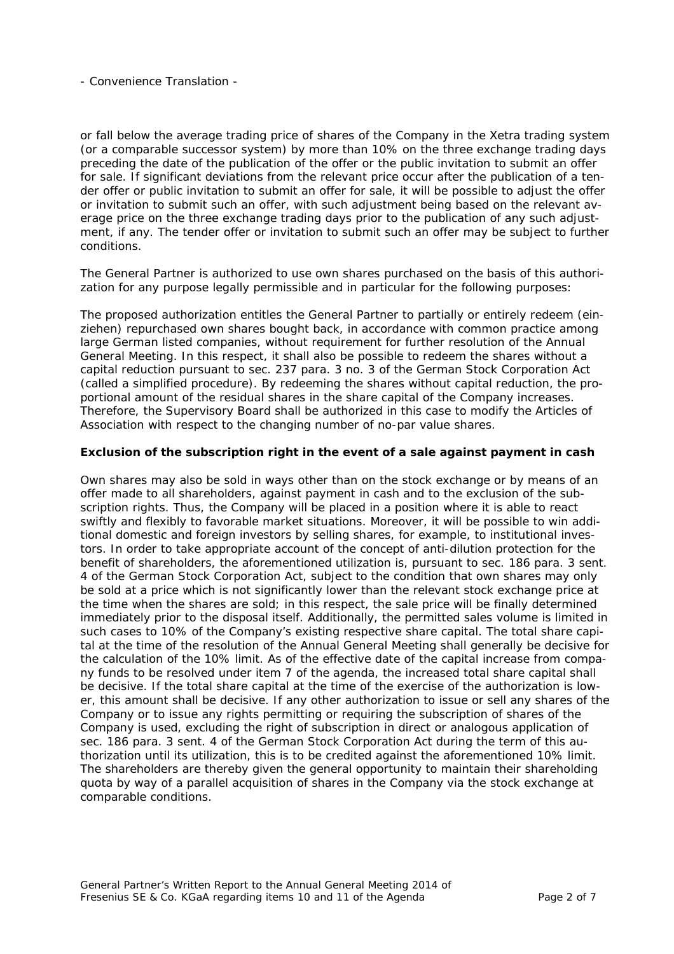or fall below the average trading price of shares of the Company in the Xetra trading system (or a comparable successor system) by more than 10% on the three exchange trading days preceding the date of the publication of the offer or the public invitation to submit an offer for sale. If significant deviations from the relevant price occur after the publication of a tender offer or public invitation to submit an offer for sale, it will be possible to adjust the offer or invitation to submit such an offer, with such adjustment being based on the relevant average price on the three exchange trading days prior to the publication of any such adjustment, if any. The tender offer or invitation to submit such an offer may be subject to further conditions.

The General Partner is authorized to use own shares purchased on the basis of this authorization for any purpose legally permissible and in particular for the following purposes:

The proposed authorization entitles the General Partner to partially or entirely redeem (*einziehen*) repurchased own shares bought back, in accordance with common practice among large German listed companies, without requirement for further resolution of the Annual General Meeting. In this respect, it shall also be possible to redeem the shares without a capital reduction pursuant to sec. 237 para. 3 no. 3 of the German Stock Corporation Act (called a simplified procedure). By redeeming the shares without capital reduction, the proportional amount of the residual shares in the share capital of the Company increases. Therefore, the Supervisory Board shall be authorized in this case to modify the Articles of Association with respect to the changing number of no-par value shares.

# *Exclusion of the subscription right in the event of a sale against payment in cash*

Own shares may also be sold in ways other than on the stock exchange or by means of an offer made to all shareholders, against payment in cash and to the exclusion of the subscription rights. Thus, the Company will be placed in a position where it is able to react swiftly and flexibly to favorable market situations. Moreover, it will be possible to win additional domestic and foreign investors by selling shares, for example, to institutional investors. In order to take appropriate account of the concept of anti-dilution protection for the benefit of shareholders, the aforementioned utilization is, pursuant to sec. 186 para. 3 sent. 4 of the German Stock Corporation Act, subject to the condition that own shares may only be sold at a price which is not significantly lower than the relevant stock exchange price at the time when the shares are sold; in this respect, the sale price will be finally determined immediately prior to the disposal itself. Additionally, the permitted sales volume is limited in such cases to 10% of the Company's existing respective share capital. The total share capital at the time of the resolution of the Annual General Meeting shall generally be decisive for the calculation of the 10% limit. As of the effective date of the capital increase from company funds to be resolved under item 7 of the agenda, the increased total share capital shall be decisive. If the total share capital at the time of the exercise of the authorization is lower, this amount shall be decisive. If any other authorization to issue or sell any shares of the Company or to issue any rights permitting or requiring the subscription of shares of the Company is used, excluding the right of subscription in direct or analogous application of sec. 186 para. 3 sent. 4 of the German Stock Corporation Act during the term of this authorization until its utilization, this is to be credited against the aforementioned 10% limit. The shareholders are thereby given the general opportunity to maintain their shareholding quota by way of a parallel acquisition of shares in the Company via the stock exchange at comparable conditions.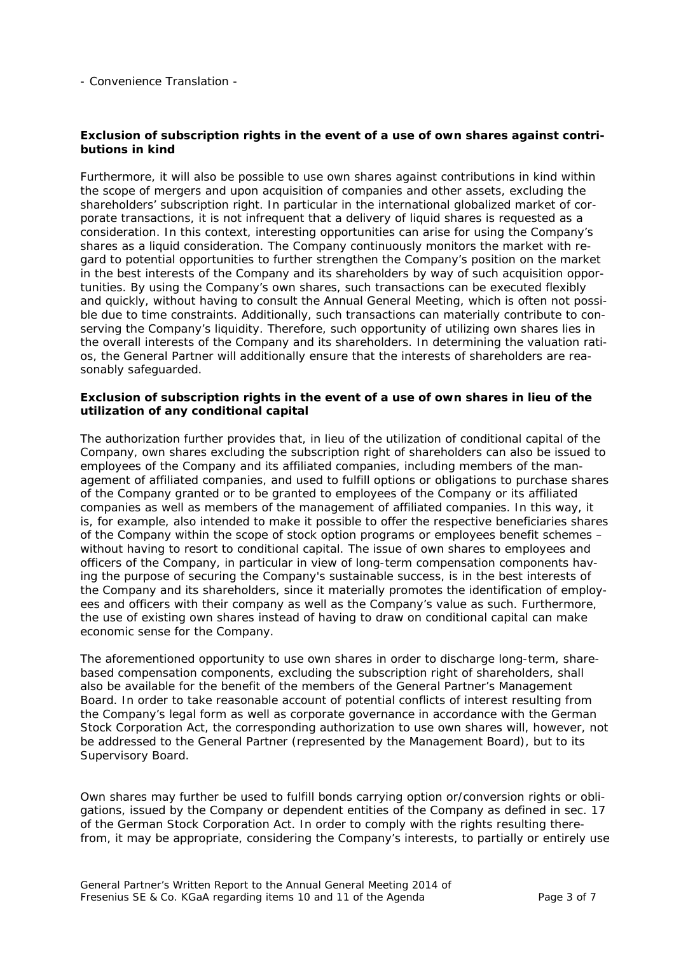## *Exclusion of subscription rights in the event of a use of own shares against contributions in kind*

Furthermore, it will also be possible to use own shares against contributions in kind within the scope of mergers and upon acquisition of companies and other assets, excluding the shareholders' subscription right. In particular in the international globalized market of corporate transactions, it is not infrequent that a delivery of liquid shares is requested as a consideration. In this context, interesting opportunities can arise for using the Company's shares as a liquid consideration. The Company continuously monitors the market with regard to potential opportunities to further strengthen the Company's position on the market in the best interests of the Company and its shareholders by way of such acquisition opportunities. By using the Company's own shares, such transactions can be executed flexibly and quickly, without having to consult the Annual General Meeting, which is often not possible due to time constraints. Additionally, such transactions can materially contribute to conserving the Company's liquidity. Therefore, such opportunity of utilizing own shares lies in the overall interests of the Company and its shareholders. In determining the valuation ratios, the General Partner will additionally ensure that the interests of shareholders are reasonably safeguarded.

## *Exclusion of subscription rights in the event of a use of own shares in lieu of the utilization of any conditional capital*

The authorization further provides that, in lieu of the utilization of conditional capital of the Company, own shares excluding the subscription right of shareholders can also be issued to employees of the Company and its affiliated companies, including members of the management of affiliated companies, and used to fulfill options or obligations to purchase shares of the Company granted or to be granted to employees of the Company or its affiliated companies as well as members of the management of affiliated companies. In this way, it is, for example, also intended to make it possible to offer the respective beneficiaries shares of the Company within the scope of stock option programs or employees benefit schemes – without having to resort to conditional capital. The issue of own shares to employees and officers of the Company, in particular in view of long-term compensation components having the purpose of securing the Company's sustainable success, is in the best interests of the Company and its shareholders, since it materially promotes the identification of employees and officers with their company as well as the Company's value as such. Furthermore, the use of existing own shares instead of having to draw on conditional capital can make economic sense for the Company.

The aforementioned opportunity to use own shares in order to discharge long-term, sharebased compensation components, excluding the subscription right of shareholders, shall also be available for the benefit of the members of the General Partner's Management Board. In order to take reasonable account of potential conflicts of interest resulting from the Company's legal form as well as corporate governance in accordance with the German Stock Corporation Act, the corresponding authorization to use own shares will, however, not be addressed to the General Partner (represented by the Management Board), but to its Supervisory Board.

Own shares may further be used to fulfill bonds carrying option or/conversion rights or obligations, issued by the Company or dependent entities of the Company as defined in sec. 17 of the German Stock Corporation Act. In order to comply with the rights resulting therefrom, it may be appropriate, considering the Company's interests, to partially or entirely use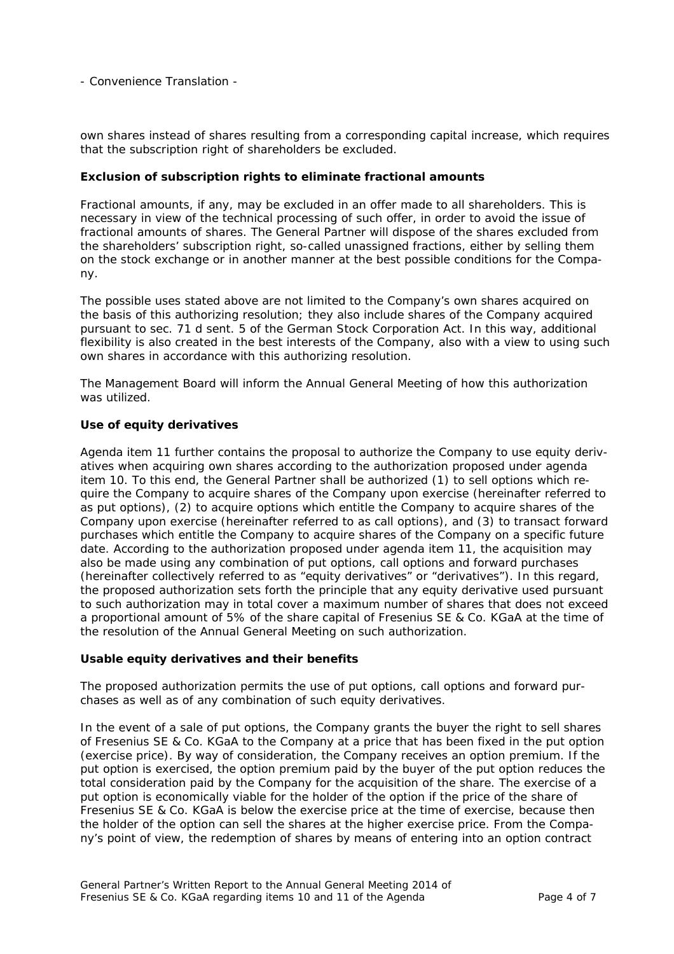own shares instead of shares resulting from a corresponding capital increase, which requires that the subscription right of shareholders be excluded.

## *Exclusion of subscription rights to eliminate fractional amounts*

Fractional amounts, if any, may be excluded in an offer made to all shareholders. This is necessary in view of the technical processing of such offer, in order to avoid the issue of fractional amounts of shares. The General Partner will dispose of the shares excluded from the shareholders' subscription right, so-called unassigned fractions, either by selling them on the stock exchange or in another manner at the best possible conditions for the Company.

The possible uses stated above are not limited to the Company's own shares acquired on the basis of this authorizing resolution; they also include shares of the Company acquired pursuant to sec. 71 d sent. 5 of the German Stock Corporation Act. In this way, additional flexibility is also created in the best interests of the Company, also with a view to using such own shares in accordance with this authorizing resolution.

The Management Board will inform the Annual General Meeting of how this authorization was utilized.

## *Use of equity derivatives*

Agenda item 11 further contains the proposal to authorize the Company to use equity derivatives when acquiring own shares according to the authorization proposed under agenda item 10. To this end, the General Partner shall be authorized (1) to sell options which require the Company to acquire shares of the Company upon exercise (hereinafter referred to as put options), (2) to acquire options which entitle the Company to acquire shares of the Company upon exercise (hereinafter referred to as call options), and (3) to transact forward purchases which entitle the Company to acquire shares of the Company on a specific future date. According to the authorization proposed under agenda item 11, the acquisition may also be made using any combination of put options, call options and forward purchases (hereinafter collectively referred to as "equity derivatives" or "derivatives"). In this regard, the proposed authorization sets forth the principle that any equity derivative used pursuant to such authorization may in total cover a maximum number of shares that does not exceed a proportional amount of 5% of the share capital of Fresenius SE & Co. KGaA at the time of the resolution of the Annual General Meeting on such authorization.

## *Usable equity derivatives and their benefits*

The proposed authorization permits the use of put options, call options and forward purchases as well as of any combination of such equity derivatives.

In the event of a sale of put options, the Company grants the buyer the right to sell shares of Fresenius SE & Co. KGaA to the Company at a price that has been fixed in the put option (exercise price). By way of consideration, the Company receives an option premium. If the put option is exercised, the option premium paid by the buyer of the put option reduces the total consideration paid by the Company for the acquisition of the share. The exercise of a put option is economically viable for the holder of the option if the price of the share of Fresenius SE & Co. KGaA is below the exercise price at the time of exercise, because then the holder of the option can sell the shares at the higher exercise price. From the Company's point of view, the redemption of shares by means of entering into an option contract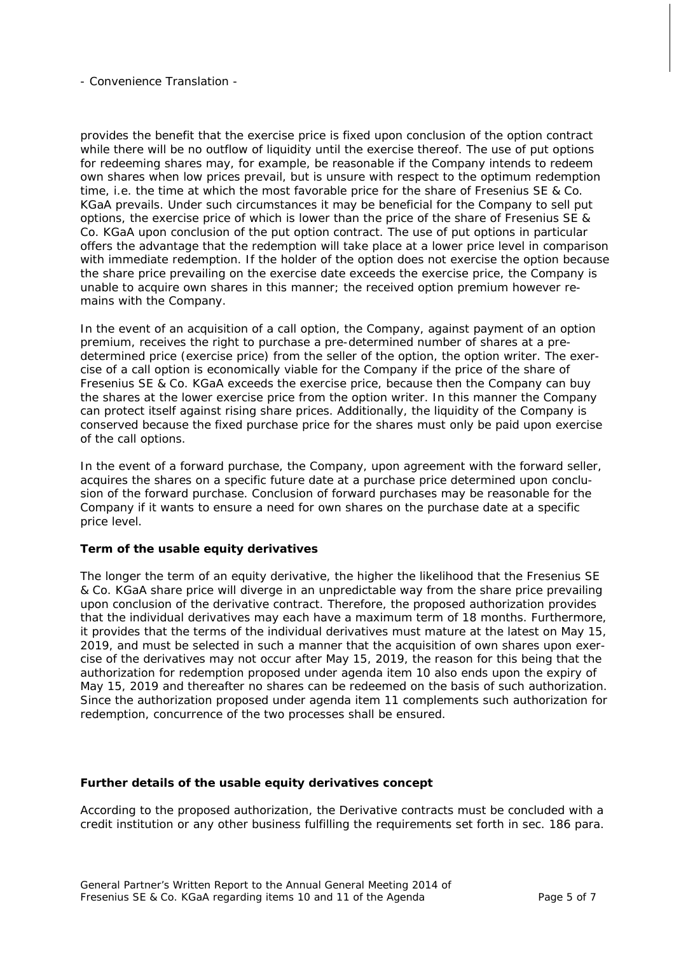provides the benefit that the exercise price is fixed upon conclusion of the option contract while there will be no outflow of liquidity until the exercise thereof. The use of put options for redeeming shares may, for example, be reasonable if the Company intends to redeem own shares when low prices prevail, but is unsure with respect to the optimum redemption time, i.e. the time at which the most favorable price for the share of Fresenius SE & Co. KGaA prevails. Under such circumstances it may be beneficial for the Company to sell put options, the exercise price of which is lower than the price of the share of Fresenius SE & Co. KGaA upon conclusion of the put option contract. The use of put options in particular offers the advantage that the redemption will take place at a lower price level in comparison with immediate redemption. If the holder of the option does not exercise the option because the share price prevailing on the exercise date exceeds the exercise price, the Company is unable to acquire own shares in this manner; the received option premium however remains with the Company.

In the event of an acquisition of a call option, the Company, against payment of an option premium, receives the right to purchase a pre-determined number of shares at a predetermined price (exercise price) from the seller of the option, the option writer. The exercise of a call option is economically viable for the Company if the price of the share of Fresenius SE & Co. KGaA exceeds the exercise price, because then the Company can buy the shares at the lower exercise price from the option writer. In this manner the Company can protect itself against rising share prices. Additionally, the liquidity of the Company is conserved because the fixed purchase price for the shares must only be paid upon exercise of the call options.

In the event of a forward purchase, the Company, upon agreement with the forward seller, acquires the shares on a specific future date at a purchase price determined upon conclusion of the forward purchase. Conclusion of forward purchases may be reasonable for the Company if it wants to ensure a need for own shares on the purchase date at a specific price level.

## *Term of the usable equity derivatives*

The longer the term of an equity derivative, the higher the likelihood that the Fresenius SE & Co. KGaA share price will diverge in an unpredictable way from the share price prevailing upon conclusion of the derivative contract. Therefore, the proposed authorization provides that the individual derivatives may each have a maximum term of 18 months. Furthermore, it provides that the terms of the individual derivatives must mature at the latest on May 15, 2019, and must be selected in such a manner that the acquisition of own shares upon exercise of the derivatives may not occur after May 15, 2019, the reason for this being that the authorization for redemption proposed under agenda item 10 also ends upon the expiry of May 15, 2019 and thereafter no shares can be redeemed on the basis of such authorization. Since the authorization proposed under agenda item 11 complements such authorization for redemption, concurrence of the two processes shall be ensured.

## *Further details of the usable equity derivatives concept*

According to the proposed authorization, the Derivative contracts must be concluded with a credit institution or any other business fulfilling the requirements set forth in sec. 186 para.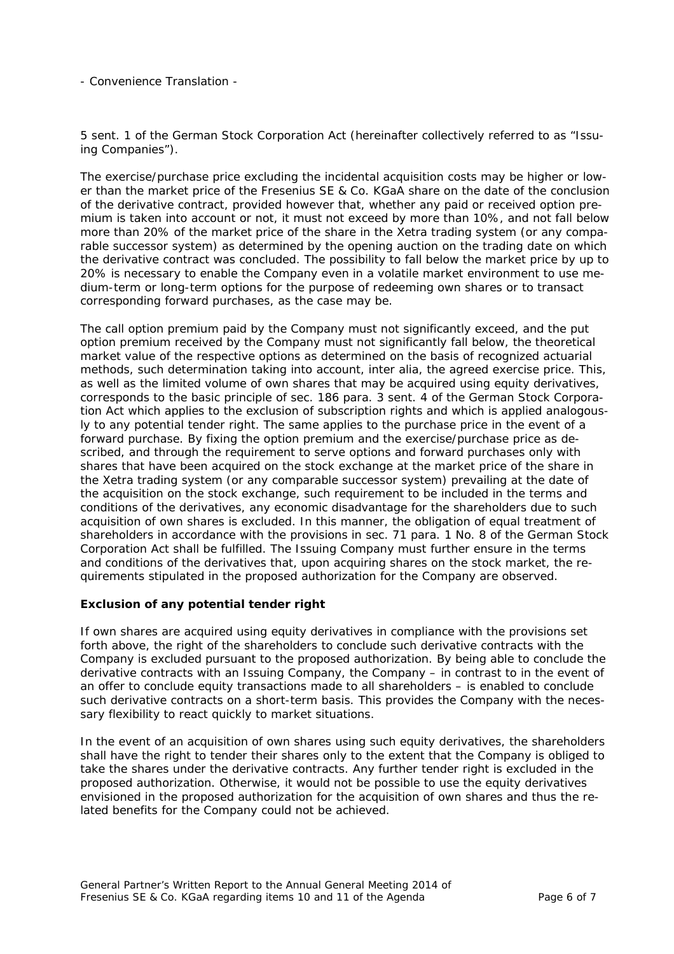5 sent. 1 of the German Stock Corporation Act (hereinafter collectively referred to as "Issuing Companies").

The exercise/purchase price excluding the incidental acquisition costs may be higher or lower than the market price of the Fresenius SE & Co. KGaA share on the date of the conclusion of the derivative contract, provided however that, whether any paid or received option premium is taken into account or not, it must not exceed by more than 10%, and not fall below more than 20% of the market price of the share in the Xetra trading system (or any comparable successor system) as determined by the opening auction on the trading date on which the derivative contract was concluded. The possibility to fall below the market price by up to 20% is necessary to enable the Company even in a volatile market environment to use medium-term or long-term options for the purpose of redeeming own shares or to transact corresponding forward purchases, as the case may be.

The call option premium paid by the Company must not significantly exceed, and the put option premium received by the Company must not significantly fall below, the theoretical market value of the respective options as determined on the basis of recognized actuarial methods, such determination taking into account, inter alia, the agreed exercise price. This, as well as the limited volume of own shares that may be acquired using equity derivatives, corresponds to the basic principle of sec. 186 para. 3 sent. 4 of the German Stock Corporation Act which applies to the exclusion of subscription rights and which is applied analogously to any potential tender right. The same applies to the purchase price in the event of a forward purchase. By fixing the option premium and the exercise/purchase price as described, and through the requirement to serve options and forward purchases only with shares that have been acquired on the stock exchange at the market price of the share in the Xetra trading system (or any comparable successor system) prevailing at the date of the acquisition on the stock exchange, such requirement to be included in the terms and conditions of the derivatives, any economic disadvantage for the shareholders due to such acquisition of own shares is excluded. In this manner, the obligation of equal treatment of shareholders in accordance with the provisions in sec. 71 para. 1 No. 8 of the German Stock Corporation Act shall be fulfilled. The Issuing Company must further ensure in the terms and conditions of the derivatives that, upon acquiring shares on the stock market, the requirements stipulated in the proposed authorization for the Company are observed.

## *Exclusion of any potential tender right*

If own shares are acquired using equity derivatives in compliance with the provisions set forth above, the right of the shareholders to conclude such derivative contracts with the Company is excluded pursuant to the proposed authorization. By being able to conclude the derivative contracts with an Issuing Company, the Company – in contrast to in the event of an offer to conclude equity transactions made to all shareholders – is enabled to conclude such derivative contracts on a short-term basis. This provides the Company with the necessary flexibility to react quickly to market situations.

In the event of an acquisition of own shares using such equity derivatives, the shareholders shall have the right to tender their shares only to the extent that the Company is obliged to take the shares under the derivative contracts. Any further tender right is excluded in the proposed authorization. Otherwise, it would not be possible to use the equity derivatives envisioned in the proposed authorization for the acquisition of own shares and thus the related benefits for the Company could not be achieved.